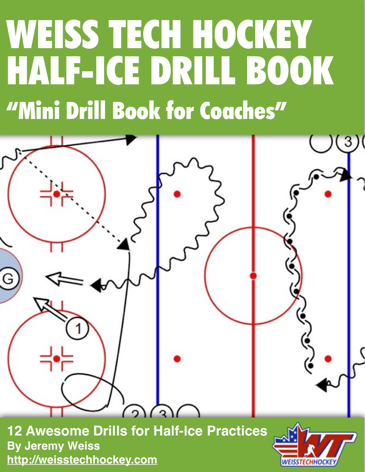# WEISS TECH HOCKEY HALF-ICE DRILL BOOK "Mini Drill Book for Coaches"

G  $\sqrt{2}$ 

**12 Awesome Drills for Half-Ice Practices By Jeremy Weiss <http://weisstechhockey.com>**

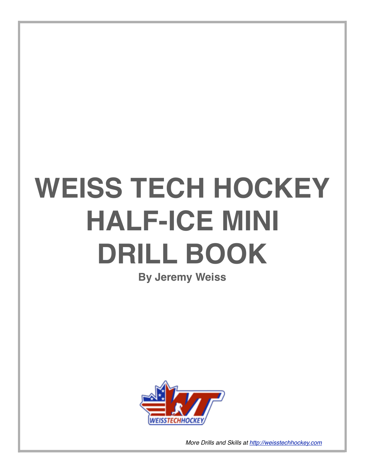## **WEISS TECH HOCKEY HALF-ICE MINI DRILL BOOK**

### **By Jeremy Weiss**

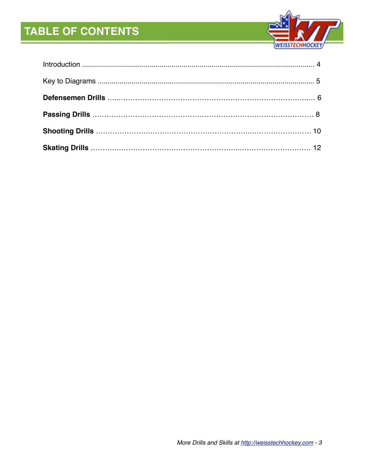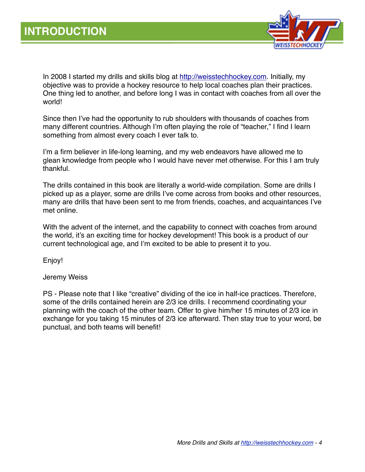

In 2008 I started my drills and skills blog at<http://weisstechhockey.com>. Initially, my objective was to provide a hockey resource to help local coaches plan their practices. One thing led to another, and before long I was in contact with coaches from all over the world!

Since then I've had the opportunity to rub shoulders with thousands of coaches from many different countries. Although I'm often playing the role of "teacher," I find I learn something from almost every coach I ever talk to.

I'm a firm believer in life-long learning, and my web endeavors have allowed me to glean knowledge from people who I would have never met otherwise. For this I am truly thankful.

The drills contained in this book are literally a world-wide compilation. Some are drills I picked up as a player, some are drills I've come across from books and other resources, many are drills that have been sent to me from friends, coaches, and acquaintances I've met online.

With the advent of the internet, and the capability to connect with coaches from around the world, it's an exciting time for hockey development! This book is a product of our current technological age, and I'm excited to be able to present it to you.

Enjoy!

Jeremy Weiss

PS - Please note that I like "creative" dividing of the ice in half-ice practices. Therefore, some of the drills contained herein are 2/3 ice drills. I recommend coordinating your planning with the coach of the other team. Offer to give him/her 15 minutes of 2/3 ice in exchange for you taking 15 minutes of 2/3 ice afterward. Then stay true to your word, be punctual, and both teams will benefit!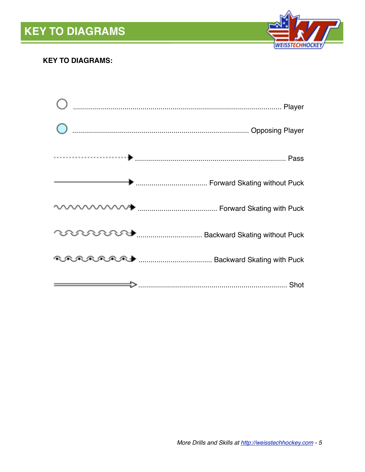

### **KEY TO DIAGRAMS:**

| Forward Skating without Puck                             |
|----------------------------------------------------------|
|                                                          |
| <b>COURDIDERS MANUSCON Backward Skating without Puck</b> |
| <b>RARARA + MARAL Backward Skating with Puck</b>         |
|                                                          |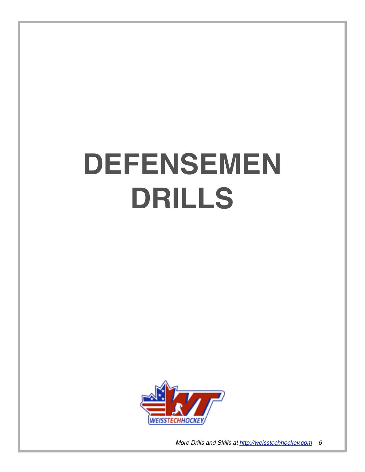## **DEFENSEMEN DRILLS**

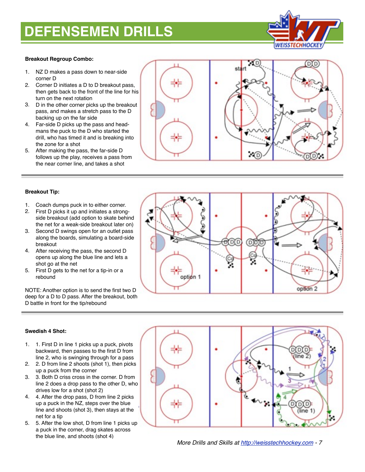### **DEFENSEMEN DRILLS**



#### **Breakout Regroup Combo:**

- 1. NZ D makes a pass down to near-side corner D
- 2. Corner D initiates a D to D breakout pass, then gets back to the front of the line for his turn on the next rotation
- 3. D in the other corner picks up the breakout pass, and makes a stretch pass to the D backing up on the far side
- 4. Far-side D picks up the pass and headmans the puck to the D who started the drill, who has timed it and is breaking into the zone for a shot
- 5. After making the pass, the far-side D follows up the play, receives a pass from the near corner line, and takes a shot



#### **Breakout Tip:**

- 1. Coach dumps puck in to either corner.
- 2. First D picks it up and initiates a strongside breakout (add option to skate behind the net for a weak-side breakout later on)
- 3. Second D swings open for an outlet pass along the boards, simulating a board-side breakout
- 4. After receiving the pass, the second D opens up along the blue line and lets a shot go at the net
- 5. First D gets to the net for a tip-in or a rebound

NOTE: Another option is to send the first two D deep for a D to D pass. After the breakout, both D battle in front for the tip/rebound



### **Swedish 4 Shot:**

- 1. 1. First D in line 1 picks up a puck, pivots backward, then passes to the first D from line 2, who is swinging through for a pass
- 2. 2. D from line 2 shoots (shot 1), then picks up a puck from the corner
- 3. 3. Both D criss cross in the corner. D from line 2 does a drop pass to the other D, who drives low for a shot (shot 2)
- 4. 4. After the drop pass, D from line 2 picks up a puck in the NZ, steps over the blue line and shoots (shot 3), then stays at the net for a tip
- 5. 5. After the low shot, D from line 1 picks up a puck in the corner, drag skates across the blue line, and shoots (shot 4)

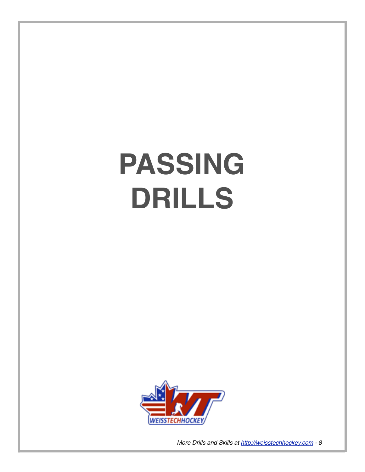# **PASSING DRILLS**

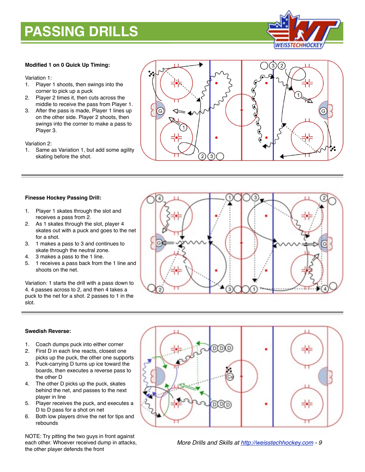### **PASSING DRILLS**



#### **Modified 1 on 0 Quick Up Timing:**

#### Variation 1:

- 1. Player 1 shoots, then swings into the corner to pick up a puck
- 2. Player 2 times it, then cuts across the middle to receive the pass from Player 1.
- 3. After the pass is made, Player 1 lines up on the other side. Player 2 shoots, then swings into the corner to make a pass to Player 3.

Variation 2:

1. Same as Variation 1, but add some agility skating before the shot.



#### **Finesse Hockey Passing Drill:**

- 1. Player 1 skates through the slot and receives a pass from 2.
- 2. As 1 skates through the slot, player 4 skates out with a puck and goes to the net for a shot.
- 3. 1 makes a pass to 3 and continues to skate through the neutral zone.
- 4. 3 makes a pass to the 1 line.
- 5. 1 receives a pass back from the 1 line and shoots on the net.

Variation: 1 starts the drill with a pass down to 4. 4 passes across to 2, and then 4 takes a puck to the net for a shot. 2 passes to 1 in the slot.



#### **Swedish Reverse:**

- 1. Coach dumps puck into either corner
- 2. First D in each line reacts, closest one picks up the puck, the other one supports
- 3. Puck-carrying D turns up ice toward the boards, then executes a reverse pass to the other D
- 4. The other D picks up the puck, skates behind the net, and passes to the next player in line
- 5. Player receives the puck, and executes a D to D pass for a shot on net
- 6. Both low players drive the net for tips and rebounds

NOTE: Try pitting the two guys in front against each other. Whoever received dump in attacks, the other player defends the front

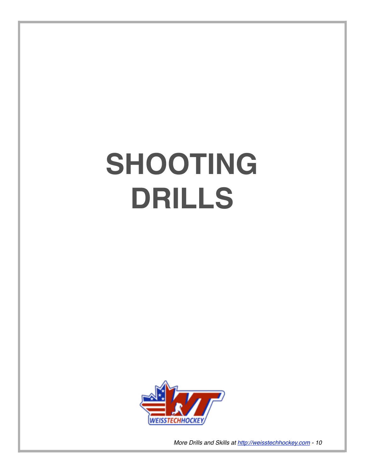# **SHOOTING DRILLS**

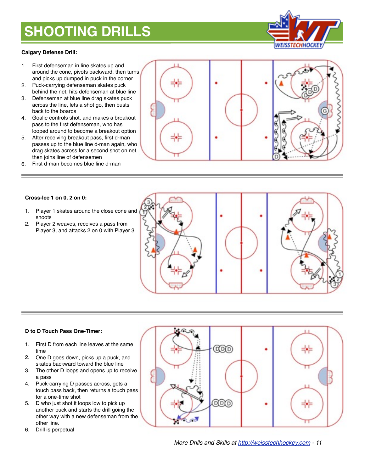## **SHOOTING DRILLS**

#### **Calgary Defense Drill:**

- 1. First defenseman in line skates up and around the cone, pivots backward, then turns and picks up dumped in puck in the corner
- 2. Puck-carrying defenseman skates puck behind the net, hits defenseman at blue line
- 3. Defenseman at blue line drag skates puck across the line, lets a shot go, then busts back to the boards
- 4. Goalie controls shot, and makes a breakout pass to the first defenseman, who has looped around to become a breakout option
- 5. After receiving breakout pass, first d-man passes up to the blue line d-man again, who drag skates across for a second shot on net, then joins line of defensemen
- 6. First d-man becomes blue line d-man





#### **Cross-Ice 1 on 0, 2 on 0:**

- 1. Player 1 skates around the close cone and shoots
- 2. Player 2 weaves, receives a pass from Player 3, and attacks 2 on 0 with Player 3



#### **D to D Touch Pass One-Timer:**

- 1. First D from each line leaves at the same time
- 2. One D goes down, picks up a puck, and skates backward toward the blue line
- 3. The other D loops and opens up to receive a pass
- 4. Puck-carrying D passes across, gets a touch pass back, then returns a touch pass for a one-time shot
- 5. D who just shot it loops low to pick up another puck and starts the drill going the other way with a new defenseman from the other line.
- 6. Drill is perpetual

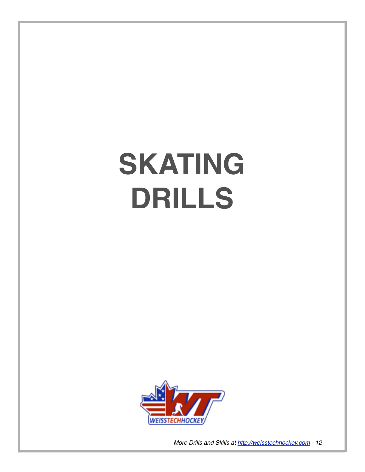# **SKATING DRILLS**